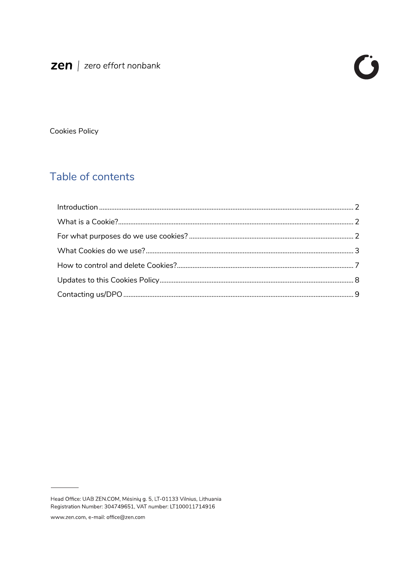**Cookies Policy** 

# Table of contents

Head Office: UAB ZEN.COM, Mésinių g. 5, LT-01133 Vilnius, Lithuania Registration Number: 304749651, VAT number: LT100011714916

www.zen.com, e-mail: office@zen.com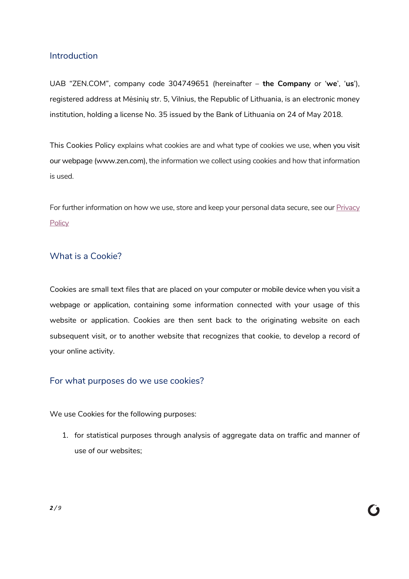## Introduction

UAB "ZEN.COM", company code 304749651 (hereinafter – **the Company** or '**we**', '**us**'), registered address at Mėsinių str. 5, Vilnius, the Republic of Lithuania, is an electronic money institution, holding a license No. 35 issued by the Bank of Lithuania on 24 of May 2018.

This Cookies Policy explains what cookies are and what type of cookies we use, when you visit our webpage (www.zen.com), the information we collect using cookies and how that information is used.

For further information on how we use, store and keep your personal data secure, see our Privacy **Policy** 

## What is a Cookie?

Cookies are small text files that are placed on your computer or mobile device when you visit a webpage or application, containing some information connected with your usage of this website or application. Cookies are then sent back to the originating website on each subsequent visit, or to another website that recognizes that cookie, to develop a record of your online activity.

# For what purposes do we use cookies?

We use Cookies for the following purposes:

1. for statistical purposes through analysis of aggregate data on traffic and manner of use of our websites;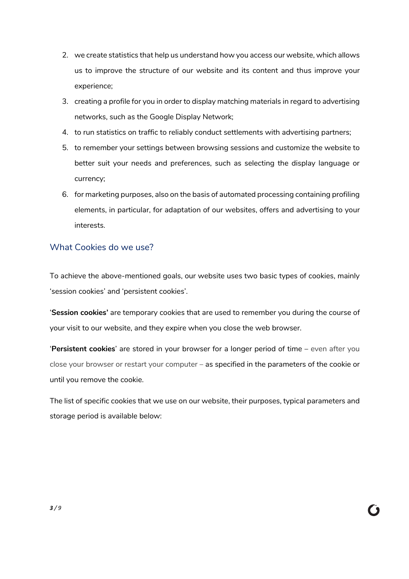- 2. we create statistics that help us understand how you access our website, which allows us to improve the structure of our website and its content and thus improve your experience;
- 3. creating a profile for you in order to display matching materials in regard to advertising networks, such as the Google Display Network;
- 4. to run statistics on traffic to reliably conduct settlements with advertising partners;
- 5. to remember your settings between browsing sessions and customize the website to better suit your needs and preferences, such as selecting the display language or currency;
- 6. for marketing purposes, also on the basis of automated processing containing profiling elements, in particular, for adaptation of our websites, offers and advertising to your interests.

## What Cookies do we use?

To achieve the above-mentioned goals, our website uses two basic types of cookies, mainly 'session cookies' and 'persistent cookies'.

'**Session cookies'** are temporary cookies that are used to remember you during the course of your visit to our website, and they expire when you close the web browser.

'**Persistent cookies**' are stored in your browser for a longer period of time – even after you close your browser or restart your computer – as specified in the parameters of the cookie or until you remove the cookie.

The list of specific cookies that we use on our website, their purposes, typical parameters and storage period is available below: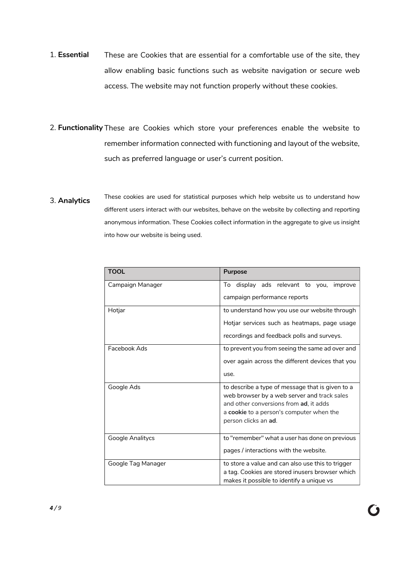- 1. **Essential** These are Cookies that are essential for a comfortable use of the site, they allow enabling basic functions such as website navigation or secure web access. The website may not function properly without these cookies.
- 2. **Functionality** These are Cookies which store your preferences enable the website to remember information connected with functioning and layout of the website, such as preferred language or user's current position.
- 3. **Analytics** These cookies are used for statistical purposes which help website us to understand how different users interact with our websites, behave on the website by collecting and reporting anonymous information. These Cookies collect information in the aggregate to give us insight into how our website is being used.

| <b>TOOL</b>        | <b>Purpose</b>                                                                                                                              |  |  |  |
|--------------------|---------------------------------------------------------------------------------------------------------------------------------------------|--|--|--|
| Campaign Manager   | display ads relevant to you,<br>To<br>improve                                                                                               |  |  |  |
|                    | campaign performance reports                                                                                                                |  |  |  |
| Hotjar             | to understand how you use our website through                                                                                               |  |  |  |
|                    | Hotjar services such as heatmaps, page usage                                                                                                |  |  |  |
|                    | recordings and feedback polls and surveys.                                                                                                  |  |  |  |
| Facebook Ads       | to prevent you from seeing the same ad over and                                                                                             |  |  |  |
|                    | over again across the different devices that you                                                                                            |  |  |  |
|                    | use.                                                                                                                                        |  |  |  |
| Google Ads         | to describe a type of message that is given to a                                                                                            |  |  |  |
|                    | and other conversions from ad. it adds                                                                                                      |  |  |  |
|                    | a <b>cookie</b> to a person's computer when the                                                                                             |  |  |  |
|                    | person clicks an ad.                                                                                                                        |  |  |  |
| Google Analitycs   | to "remember" what a user has done on previous                                                                                              |  |  |  |
|                    | pages / interactions with the website.                                                                                                      |  |  |  |
| Google Tag Manager | to store a value and can also use this to trigger                                                                                           |  |  |  |
|                    |                                                                                                                                             |  |  |  |
|                    | web browser by a web server and track sales<br>a tag. Cookies are stored inusers browser which<br>makes it possible to identify a unique vs |  |  |  |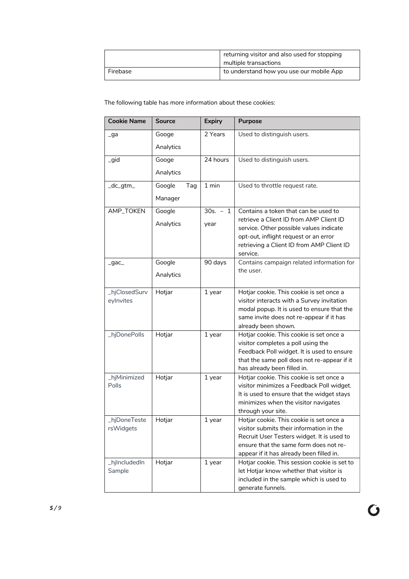|          | returning visitor and also used for stopping<br>multiple transactions |  |
|----------|-----------------------------------------------------------------------|--|
| Firebase | to understand how you use our mobile App                              |  |

The following table has more information about these cookies:

| <b>Cookie Name</b> | <b>Source</b>    | <b>Expiry</b> | <b>Purpose</b>                                                                     |  |
|--------------------|------------------|---------------|------------------------------------------------------------------------------------|--|
| _ga                | Googe            | 2 Years       | Used to distinguish users.                                                         |  |
|                    | Analytics        |               |                                                                                    |  |
| _gid               | Googe            | 24 hours      | Used to distinguish users.                                                         |  |
|                    | Analytics        |               |                                                                                    |  |
| _dc_gtm_           | Google<br>Tag    | 1 min         | Used to throttle request rate.                                                     |  |
|                    | Manager          |               |                                                                                    |  |
| AMP_TOKEN          | Google           | $30s. - 1$    | Contains a token that can be used to                                               |  |
|                    | Analytics        | year          | retrieve a Client ID from AMP Client ID<br>service. Other possible values indicate |  |
|                    |                  |               | opt-out, inflight request or an error<br>retrieving a Client ID from AMP Client ID |  |
|                    |                  |               | service.                                                                           |  |
| $_{q}$ gac         | Google           | 90 days       | Contains campaign related information for                                          |  |
|                    | Analytics        |               | the user.                                                                          |  |
| _hjClosedSurv      | Hotjar           | 1 year        | Hotjar cookie. This cookie is set once a                                           |  |
| eylnvites          |                  |               | visitor interacts with a Survey invitation                                         |  |
|                    |                  |               | modal popup. It is used to ensure that the                                         |  |
|                    |                  |               | same invite does not re-appear if it has<br>already been shown.                    |  |
| _hjDonePolls       | Hotjar<br>1 year |               | Hotjar cookie. This cookie is set once a                                           |  |
|                    |                  |               | visitor completes a poll using the                                                 |  |
|                    |                  |               | Feedback Poll widget. It is used to ensure                                         |  |
|                    |                  |               | that the same poll does not re-appear if it                                        |  |
|                    |                  |               | has already been filled in.                                                        |  |
| _hjMinimized       | Hotjar           | 1 year        | Hotjar cookie. This cookie is set once a                                           |  |
| Polls              |                  |               | visitor minimizes a Feedback Poll widget.                                          |  |
|                    |                  |               | It is used to ensure that the widget stays                                         |  |
|                    |                  |               | minimizes when the visitor navigates                                               |  |
| hjDoneTeste        | Hotjar           | 1 year        | through your site.<br>Hotjar cookie. This cookie is set once a                     |  |
| rsWidgets          |                  |               | visitor submits their information in the                                           |  |
|                    |                  |               | Recruit User Testers widget. It is used to                                         |  |
|                    |                  |               | ensure that the same form does not re-                                             |  |
|                    |                  |               | appear if it has already been filled in.                                           |  |
| _hjIncludedIn      | Hotjar           | 1 year        | Hotjar cookie. This session cookie is set to                                       |  |
| Sample             |                  |               | let Hotjar know whether that visitor is                                            |  |
|                    |                  |               | included in the sample which is used to                                            |  |
|                    |                  |               | generate funnels.                                                                  |  |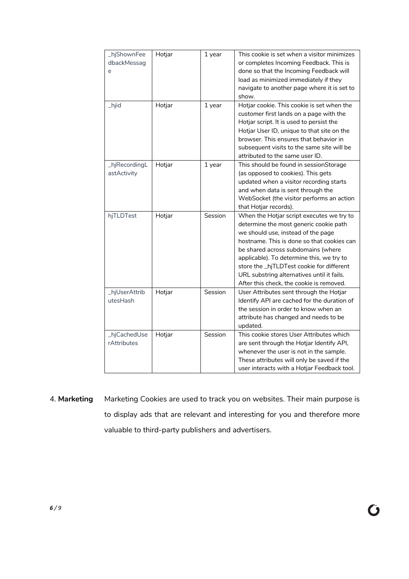| _hjShownFee   | Hotjar | 1 year  | This cookie is set when a visitor minimizes |  |  |
|---------------|--------|---------|---------------------------------------------|--|--|
| dbackMessag   |        |         | or completes Incoming Feedback. This is     |  |  |
| e             |        |         | done so that the Incoming Feedback will     |  |  |
|               |        |         | load as minimized immediately if they       |  |  |
|               |        |         | navigate to another page where it is set to |  |  |
|               |        |         | show.                                       |  |  |
| _hjid         | Hotjar | 1 year  | Hotjar cookie. This cookie is set when the  |  |  |
|               |        |         | customer first lands on a page with the     |  |  |
|               |        |         | Hotjar script. It is used to persist the    |  |  |
|               |        |         | Hotjar User ID, unique to that site on the  |  |  |
|               |        |         | browser. This ensures that behavior in      |  |  |
|               |        |         | subsequent visits to the same site will be  |  |  |
|               |        |         | attributed to the same user ID.             |  |  |
| _hjRecordingL | Hotjar | 1 year  | This should be found in sessionStorage      |  |  |
| astActivity   |        |         | (as opposed to cookies). This gets          |  |  |
|               |        |         | updated when a visitor recording starts     |  |  |
|               |        |         | and when data is sent through the           |  |  |
|               |        |         | WebSocket (the visitor performs an action   |  |  |
|               |        |         | that Hotjar records).                       |  |  |
| hjTLDTest     | Hotjar | Session | When the Hotjar script executes we try to   |  |  |
|               |        |         | determine the most generic cookie path      |  |  |
|               |        |         | we should use, instead of the page          |  |  |
|               |        |         | hostname. This is done so that cookies can  |  |  |
|               |        |         | be shared across subdomains (where          |  |  |
|               |        |         | applicable). To determine this, we try to   |  |  |
|               |        |         | store the _hjTLDTest cookie for different   |  |  |
|               |        |         | URL substring alternatives until it fails.  |  |  |
|               |        |         | After this check, the cookie is removed.    |  |  |
| _hjUserAttrib | Hotjar | Session | User Attributes sent through the Hotjar     |  |  |
| utesHash      |        |         | Identify API are cached for the duration of |  |  |
|               |        |         | the session in order to know when an        |  |  |
|               |        |         | attribute has changed and needs to be       |  |  |
|               |        |         | updated.                                    |  |  |
| _hjCachedUse  | Hotjar | Session | This cookie stores User Attributes which    |  |  |
| rAttributes   |        |         | are sent through the Hotjar Identify API,   |  |  |
|               |        |         | whenever the user is not in the sample.     |  |  |
|               |        |         | These attributes will only be saved if the  |  |  |
|               |        |         | user interacts with a Hotjar Feedback tool. |  |  |

4. **Marketing** Marketing Cookies are used to track you on websites. Their main purpose is to display ads that are relevant and interesting for you and therefore more valuable to third-party publishers and advertisers.

**C**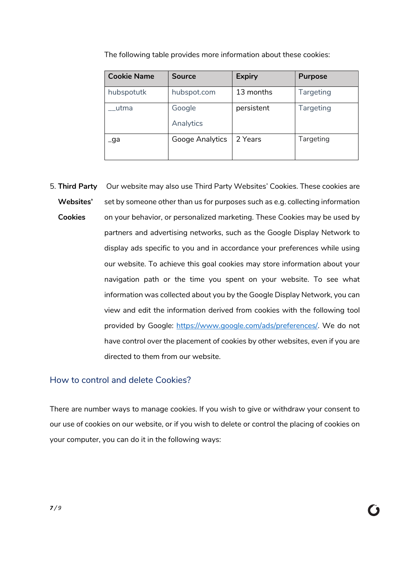| <b>Cookie Name</b> | Source              | <b>Expiry</b> | <b>Purpose</b>   |
|--------------------|---------------------|---------------|------------------|
| hubspotutk         | hubspot.com         | 13 months     | <b>Targeting</b> |
| utma               | Google<br>Analytics | persistent    | Targeting        |
| _ga                | Googe Analytics     | 2 Years       | Targeting        |

The following table provides more information about these cookies:

5. **Third Party**  Our website may also use Third Party Websites' Cookies. These cookies are **Websites' Cookies** set by someone other than us for purposes such as e.g. collecting information on your behavior, or personalized marketing. These Cookies may be used by partners and advertising networks, such as the Google Display Network to display ads specific to you and in accordance your preferences while using our website. To achieve this goal cookies may store information about your navigation path or the time you spent on your website. To see what information was collected about you by the Google Display Network, you can view and edit the information derived from cookies with the following tool provided by Google: https://www.google.com/ads/preferences/. We do not have control over the placement of cookies by other websites, even if you are directed to them from our website.

#### How to control and delete Cookies?

There are number ways to manage cookies. If you wish to give or withdraw your consent to our use of cookies on our website, or if you wish to delete or control the placing of cookies on your computer, you can do it in the following ways: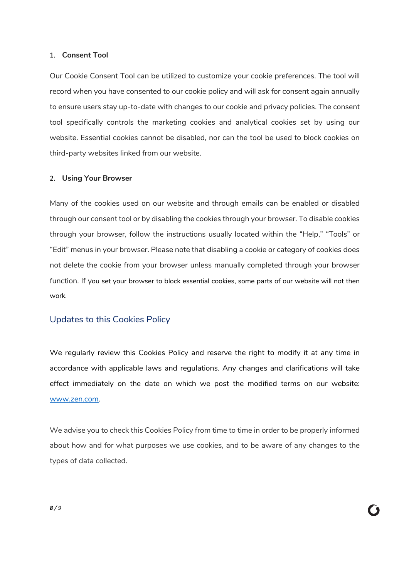#### 1. **Consent Tool**

Our Cookie Consent Tool can be utilized to customize your cookie preferences. The tool will record when you have consented to our cookie policy and will ask for consent again annually to ensure users stay up-to-date with changes to our cookie and privacy policies. The consent tool specifically controls the marketing cookies and analytical cookies set by using our website. Essential cookies cannot be disabled, nor can the tool be used to block cookies on third-party websites linked from our website.

#### 2. **Using Your Browser**

Many of the cookies used on our website and through emails can be enabled or disabled through our consent tool or by disabling the cookies through your browser. To disable cookies through your browser, follow the instructions usually located within the "Help," "Tools" or "Edit" menus in your browser. Please note that disabling a cookie or category of cookies does not delete the cookie from your browser unless manually completed through your browser function. If you set your browser to block essential cookies, some parts of our website will not then work.

#### Updates to this Cookies Policy

We regularly review this Cookies Policy and reserve the right to modify it at any time in accordance with applicable laws and regulations. Any changes and clarifications will take effect immediately on the date on which we post the modified terms on our website: www.zen.com.

We advise you to check this Cookies Policy from time to time in order to be properly informed about how and for what purposes we use cookies, and to be aware of any changes to the types of data collected.